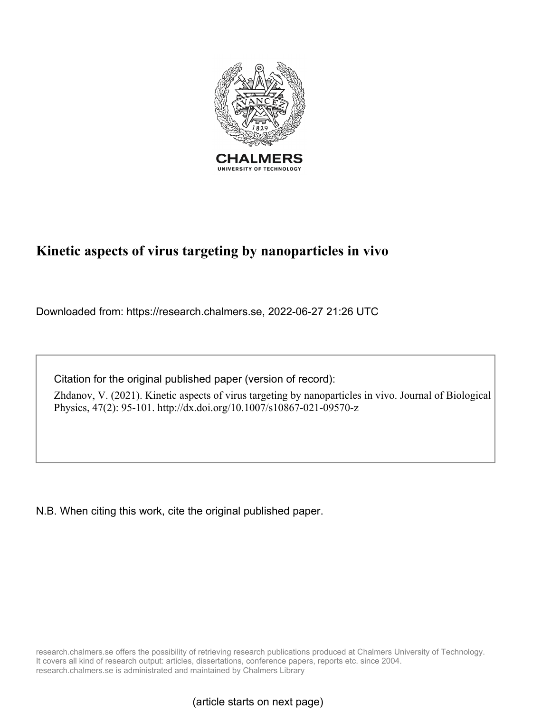

# **Kinetic aspects of virus targeting by nanoparticles in vivo**

Downloaded from: https://research.chalmers.se, 2022-06-27 21:26 UTC

Citation for the original published paper (version of record):

Zhdanov, V. (2021). Kinetic aspects of virus targeting by nanoparticles in vivo. Journal of Biological Physics, 47(2): 95-101. http://dx.doi.org/10.1007/s10867-021-09570-z

N.B. When citing this work, cite the original published paper.

research.chalmers.se offers the possibility of retrieving research publications produced at Chalmers University of Technology. It covers all kind of research output: articles, dissertations, conference papers, reports etc. since 2004. research.chalmers.se is administrated and maintained by Chalmers Library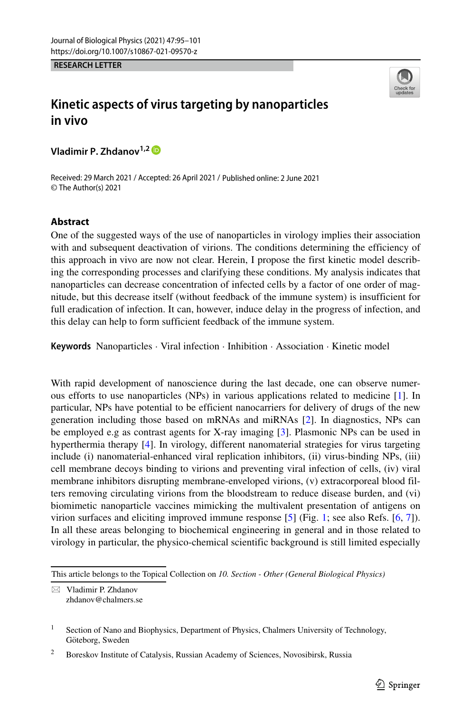**RESEARCH LETTER**



## **Kinetic aspects of virus targeting by nanoparticles in vivo**

**Vladimir P. Zhdanov1,2**

Received: 29 March 2021 / Accepted: 26 April 2021 / Published online: 2 June 2021 © The Author(s) 2021

#### **Abstract**

One of the suggested ways of the use of nanoparticles in virology implies their association with and subsequent deactivation of virions. The conditions determining the efficiency of this approach in vivo are now not clear. Herein, I propose the first kinetic model describing the corresponding processes and clarifying these conditions. My analysis indicates that nanoparticles can decrease concentration of infected cells by a factor of one order of magnitude, but this decrease itself (without feedback of the immune system) is insufficient for full eradication of infection. It can, however, induce delay in the progress of infection, and this delay can help to form sufficient feedback of the immune system.

**Keywords** Nanoparticles · Viral infection · Inhibition · Association · Kinetic model

With rapid development of nanoscience during the last decade, one can observe numerous efforts to use nanoparticles (NPs) in various applications related to medicine [\[1\]](#page-7-0). In particular, NPs have potential to be efficient nanocarriers for delivery of drugs of the new generation including those based on mRNAs and miRNAs [\[2\]](#page-7-1). In diagnostics, NPs can be employed e.g as contrast agents for X-ray imaging [\[3\]](#page-7-2). Plasmonic NPs can be used in hyperthermia therapy [\[4\]](#page-7-3). In virology, different nanomaterial strategies for virus targeting include (i) nanomaterial-enhanced viral replication inhibitors, (ii) virus-binding NPs, (iii) cell membrane decoys binding to virions and preventing viral infection of cells, (iv) viral membrane inhibitors disrupting membrane-enveloped virions, (v) extracorporeal blood filters removing circulating virions from the bloodstream to reduce disease burden, and (vi) biomimetic nanoparticle vaccines mimicking the multivalent presentation of antigens on virion surfaces and eliciting improved immune response [\[5\]](#page-7-4) (Fig. [1;](#page-2-0) see also Refs. [\[6,](#page-7-5) [7\]](#page-7-6)). In all these areas belonging to biochemical engineering in general and in those related to virology in particular, the physico-chemical scientific background is still limited especially

This article belongs to the Topical Collection on *10. Section - Other (General Biological Physics)*

<sup>-</sup> Vladimir P. Zhdanov [zhdanov@chalmers.se](mailto: zhdanov@chalmers.se)

<sup>&</sup>lt;sup>1</sup> Section of Nano and Biophysics, Department of Physics, Chalmers University of Technology, Göteborg, Sweden

<sup>&</sup>lt;sup>2</sup> Boreskov Institute of Catalysis, Russian Academy of Sciences, Novosibirsk, Russia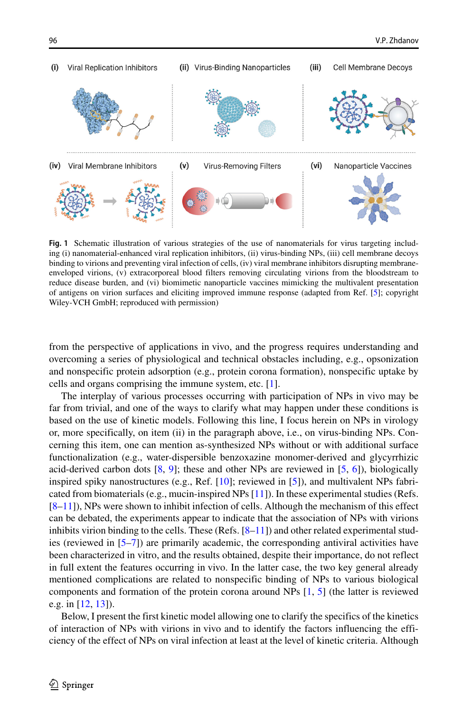<span id="page-2-0"></span>

**Fig. 1** Schematic illustration of various strategies of the use of nanomaterials for virus targeting including (i) nanomaterial-enhanced viral replication inhibitors, (ii) virus-binding NPs, (iii) cell membrane decoys binding to virions and preventing viral infection of cells, (iv) viral membrane inhibitors disrupting membraneenveloped virions, (v) extracorporeal blood filters removing circulating virions from the bloodstream to reduce disease burden, and (vi) biomimetic nanoparticle vaccines mimicking the multivalent presentation of antigens on virion surfaces and eliciting improved immune response (adapted from Ref. [\[5\]](#page-7-4); copyright Wiley-VCH GmbH; reproduced with permission)

from the perspective of applications in vivo, and the progress requires understanding and overcoming a series of physiological and technical obstacles including, e.g., opsonization and nonspecific protein adsorption (e.g., protein corona formation), nonspecific uptake by cells and organs comprising the immune system, etc. [\[1\]](#page-7-0).

The interplay of various processes occurring with participation of NPs in vivo may be far from trivial, and one of the ways to clarify what may happen under these conditions is based on the use of kinetic models. Following this line, I focus herein on NPs in virology or, more specifically, on item (ii) in the paragraph above, i.e., on virus-binding NPs. Concerning this item, one can mention as-synthesized NPs without or with additional surface functionalization (e.g., water-dispersible benzoxazine monomer-derived and glycyrrhizic acid-derived carbon dots  $[8, 9]$  $[8, 9]$  $[8, 9]$ ; these and other NPs are reviewed in  $[5, 6]$  $[5, 6]$  $[5, 6]$ ), biologically inspired spiky nanostructures (e.g., Ref. [\[10\]](#page-7-9); reviewed in [\[5\]](#page-7-4)), and multivalent NPs fabricated from biomaterials (e.g., mucin-inspired NPs [\[11\]](#page-7-10)). In these experimental studies (Refs. [\[8–](#page-7-7)[11\]](#page-7-10)), NPs were shown to inhibit infection of cells. Although the mechanism of this effect can be debated, the experiments appear to indicate that the association of NPs with virions inhibits virion binding to the cells. These (Refs.  $[8-11]$  $[8-11]$ ) and other related experimental studies (reviewed in [\[5–](#page-7-4)[7\]](#page-7-6)) are primarily academic, the corresponding antiviral activities have been characterized in vitro, and the results obtained, despite their importance, do not reflect in full extent the features occurring in vivo. In the latter case, the two key general already mentioned complications are related to nonspecific binding of NPs to various biological components and formation of the protein corona around NPs [\[1,](#page-7-0) [5\]](#page-7-4) (the latter is reviewed e.g. in [\[12,](#page-7-11) [13\]](#page-7-12)).

Below, I present the first kinetic model allowing one to clarify the specifics of the kinetics of interaction of NPs with virions in vivo and to identify the factors influencing the efficiency of the effect of NPs on viral infection at least at the level of kinetic criteria. Although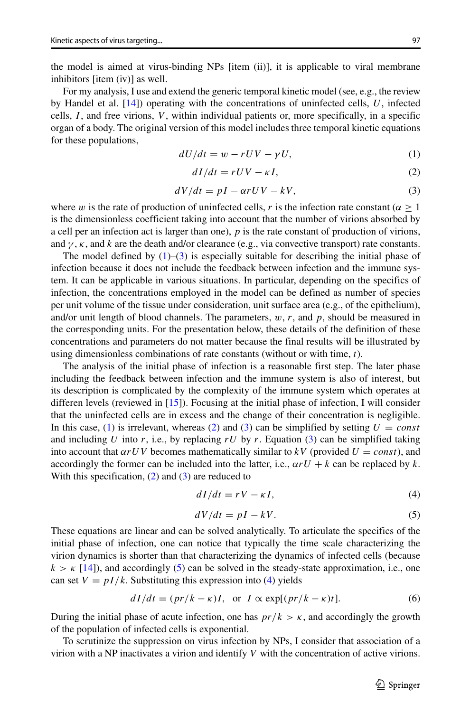the model is aimed at virus-binding NPs [item (ii)], it is applicable to viral membrane inhibitors [item (iv)] as well.

For my analysis, I use and extend the generic temporal kinetic model (see, e.g., the review by Handel et al. [\[14\]](#page-7-13)) operating with the concentrations of uninfected cells, *U*, infected cells, *I* , and free virions, *V* , within individual patients or, more specifically, in a specific organ of a body. The original version of this model includes three temporal kinetic equations for these populations,

<span id="page-3-0"></span>
$$
dU/dt = w - rUV - \gamma U,\t\t(1)
$$

<span id="page-3-2"></span>
$$
dI/dt = rUV - \kappa I,\t\t(2)
$$

<span id="page-3-1"></span>
$$
dV/dt = pI - \alpha rUV - kV, \tag{3}
$$

where *w* is the rate of production of uninfected cells, *r* is the infection rate constant ( $\alpha \ge 1$ ) is the dimensionless coefficient taking into account that the number of virions absorbed by a cell per an infection act is larger than one), *p* is the rate constant of production of virions, and  $\gamma$ ,  $\kappa$ , and  $k$  are the death and/or clearance (e.g., via convective transport) rate constants.

The model defined by  $(1)$ – $(3)$  is especially suitable for describing the initial phase of infection because it does not include the feedback between infection and the immune system. It can be applicable in various situations. In particular, depending on the specifics of infection, the concentrations employed in the model can be defined as number of species per unit volume of the tissue under consideration, unit surface area (e.g., of the epithelium), and/or unit length of blood channels. The parameters,  $w$ ,  $r$ , and  $p$ , should be measured in the corresponding units. For the presentation below, these details of the definition of these concentrations and parameters do not matter because the final results will be illustrated by using dimensionless combinations of rate constants (without or with time, *t*).

The analysis of the initial phase of infection is a reasonable first step. The later phase including the feedback between infection and the immune system is also of interest, but its description is complicated by the complexity of the immune system which operates at differen levels (reviewed in [\[15\]](#page-7-14)). Focusing at the initial phase of infection, I will consider that the uninfected cells are in excess and the change of their concentration is negligible. In this case, [\(1\)](#page-3-0) is irrelevant, whereas [\(2\)](#page-3-2) and [\(3\)](#page-3-1) can be simplified by setting  $U = const$ and including *U* into *r*, i.e., by replacing  $rU$  by *r*. Equation [\(3\)](#page-3-1) can be simplified taking into account that  $\alpha rUV$  becomes mathematically similar to  $kV$  (provided  $U = const$ ), and accordingly the former can be included into the latter, i.e.,  $\alpha rU + k$  can be replaced by *k*. With this specification,  $(2)$  and  $(3)$  are reduced to

<span id="page-3-4"></span>
$$
dI/dt = rV - \kappa I,\t\t(4)
$$

<span id="page-3-3"></span>
$$
dV/dt = pI - kV. \t\t(5)
$$

These equations are linear and can be solved analytically. To articulate the specifics of the initial phase of infection, one can notice that typically the time scale characterizing the virion dynamics is shorter than that characterizing the dynamics of infected cells (because  $k > \kappa$  [\[14\]](#page-7-13)), and accordingly [\(5\)](#page-3-3) can be solved in the steady-state approximation, i.e., one can set  $V = pI/k$ . Substituting this expression into [\(4\)](#page-3-4) yields

$$
dI/dt = (pr/k - \kappa)I, \text{ or } I \propto \exp[(pr/k - \kappa)t].
$$
 (6)

During the initial phase of acute infection, one has  $pr/k > \kappa$ , and accordingly the growth of the population of infected cells is exponential.

To scrutinize the suppression on virus infection by NPs, I consider that association of a virion with a NP inactivates a virion and identify *V* with the concentration of active virions.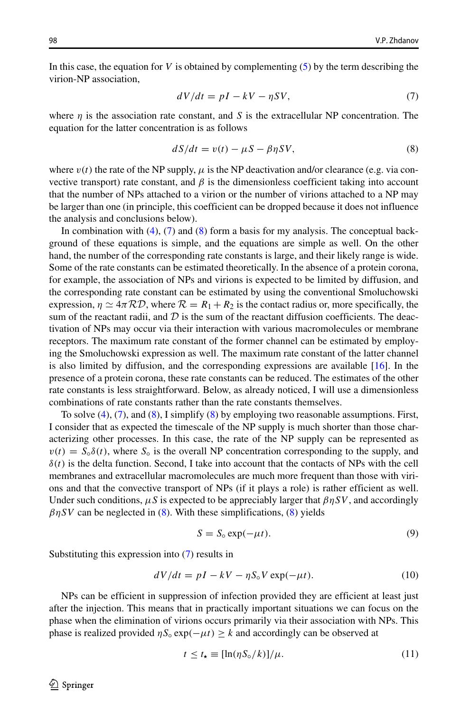In this case, the equation for *V* is obtained by complementing [\(5\)](#page-3-3) by the term describing the virion-NP association,

<span id="page-4-0"></span>
$$
dV/dt = pI - kV - \eta SV,\t\t(7)
$$

where  $\eta$  is the association rate constant, and *S* is the extracellular NP concentration. The equation for the latter concentration is as follows

<span id="page-4-1"></span>
$$
dS/dt = v(t) - \mu S - \beta \eta SV,\tag{8}
$$

where  $v(t)$  the rate of the NP supply,  $\mu$  is the NP deactivation and/or clearance (e.g. via convective transport) rate constant, and  $\beta$  is the dimensionless coefficient taking into account that the number of NPs attached to a virion or the number of virions attached to a NP may be larger than one (in principle, this coefficient can be dropped because it does not influence the analysis and conclusions below).

In combination with  $(4)$ ,  $(7)$  and  $(8)$  form a basis for my analysis. The conceptual background of these equations is simple, and the equations are simple as well. On the other hand, the number of the corresponding rate constants is large, and their likely range is wide. Some of the rate constants can be estimated theoretically. In the absence of a protein corona, for example, the association of NPs and virions is expected to be limited by diffusion, and the corresponding rate constant can be estimated by using the conventional Smoluchowski expression,  $\eta \simeq 4\pi \mathcal{RD}$ , where  $\mathcal{R} = R_1 + R_2$  is the contact radius or, more specifically, the sum of the reactant radii, and  $\mathcal D$  is the sum of the reactant diffusion coefficients. The deactivation of NPs may occur via their interaction with various macromolecules or membrane receptors. The maximum rate constant of the former channel can be estimated by employing the Smoluchowski expression as well. The maximum rate constant of the latter channel is also limited by diffusion, and the corresponding expressions are available [\[16\]](#page-7-15). In the presence of a protein corona, these rate constants can be reduced. The estimates of the other rate constants is less straightforward. Below, as already noticed, I will use a dimensionless combinations of rate constants rather than the rate constants themselves.

To solve [\(4\)](#page-3-4), [\(7\)](#page-4-0), and [\(8\)](#page-4-1), I simplify [\(8\)](#page-4-1) by employing two reasonable assumptions. First, I consider that as expected the timescale of the NP supply is much shorter than those characterizing other processes. In this case, the rate of the NP supply can be represented as  $v(t) = S_{\circ}\delta(t)$ , where  $S_{\circ}$  is the overall NP concentration corresponding to the supply, and  $\delta(t)$  is the delta function. Second, I take into account that the contacts of NPs with the cell membranes and extracellular macromolecules are much more frequent than those with virions and that the convective transport of NPs (if it plays a role) is rather efficient as well. Under such conditions,  $\mu S$  is expected to be appreciably larger that  $\beta \eta SV$ , and accordingly  $\beta$ *ηSV* can be neglected in [\(8\)](#page-4-1). With these simplifications, (8) yields

$$
S = S_0 \exp(-\mu t). \tag{9}
$$

Substituting this expression into [\(7\)](#page-4-0) results in

<span id="page-4-2"></span>
$$
dV/dt = pI - kV - \eta S_o V \exp(-\mu t). \tag{10}
$$

NPs can be efficient in suppression of infection provided they are efficient at least just after the injection. This means that in practically important situations we can focus on the phase when the elimination of virions occurs primarily via their association with NPs. This phase is realized provided  $\eta S_0 \exp(-\mu t) \geq k$  and accordingly can be observed at

<span id="page-4-3"></span>
$$
t \le t_{\star} \equiv [\ln(\eta S_{\circ}/k)]/\mu. \tag{11}
$$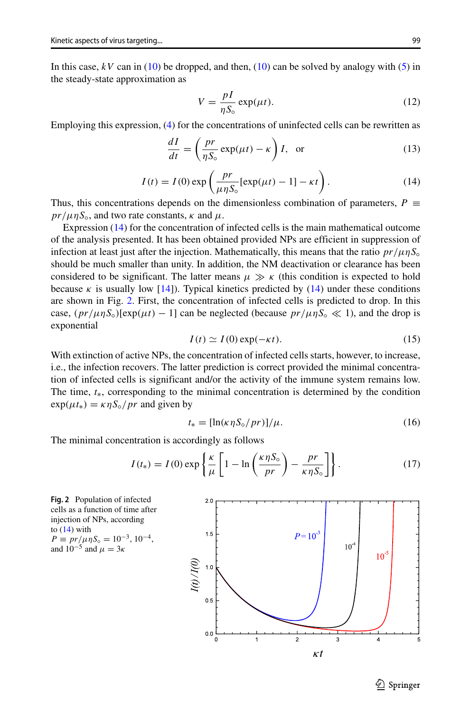In this case,  $kV$  can in [\(10\)](#page-4-2) be dropped, and then, (10) can be solved by analogy with [\(5\)](#page-3-3) in the steady-state approximation as

$$
V = \frac{pI}{\eta S_0} \exp(\mu t). \tag{12}
$$

Employing this expression, [\(4\)](#page-3-4) for the concentrations of uninfected cells can be rewritten as

$$
\frac{dI}{dt} = \left(\frac{pr}{\eta S_0} \exp(\mu t) - \kappa\right) I, \text{ or } (13)
$$

<span id="page-5-0"></span>
$$
I(t) = I(0) \exp\left(\frac{pr}{\mu\eta S_0} [\exp(\mu t) - 1] - \kappa t\right).
$$
 (14)

Thus, this concentrations depends on the dimensionless combination of parameters,  $P \equiv$  $pr/\mu$ *n* $S_0$ , and two rate constants,  $\kappa$  and  $\mu$ .

Expression [\(14\)](#page-5-0) for the concentration of infected cells is the main mathematical outcome of the analysis presented. It has been obtained provided NPs are efficient in suppression of infection at least just after the injection. Mathematically, this means that the ratio  $pr/\mu \eta S<sub>o</sub>$ should be much smaller than unity. In addition, the NM deactivation or clearance has been considered to be significant. The latter means  $\mu \gg \kappa$  (this condition is expected to hold because *κ* is usually low [\[14\]](#page-7-13)). Typical kinetics predicted by  $(14)$  under these conditions are shown in Fig. [2.](#page-5-1) First, the concentration of infected cells is predicted to drop. In this case,  $(pr/\mu\eta S<sub>o</sub>)[exp(\mu t) - 1]$  can be neglected (because  $pr/\mu\eta S<sub>o</sub> \ll 1$ ), and the drop is exponential

$$
I(t) \simeq I(0) \exp(-\kappa t). \tag{15}
$$

With extinction of active NPs, the concentration of infected cells starts, however, to increase, i.e., the infection recovers. The latter prediction is correct provided the minimal concentration of infected cells is significant and/or the activity of the immune system remains low. The time, *t*∗, corresponding to the minimal concentration is determined by the condition  $\exp(\mu t_*) = \kappa \eta S_{\circ}/pr$  and given by

<span id="page-5-2"></span>
$$
t_* = [\ln(\kappa \eta S_\circ / pr)]/\mu. \tag{16}
$$

The minimal concentration is accordingly as follows

$$
I(t_*) = I(0) \exp\left\{\frac{\kappa}{\mu} \left[1 - \ln\left(\frac{\kappa \eta S_o}{pr}\right) - \frac{pr}{\kappa \eta S_o}\right]\right\}.
$$
 (17)

<span id="page-5-1"></span>



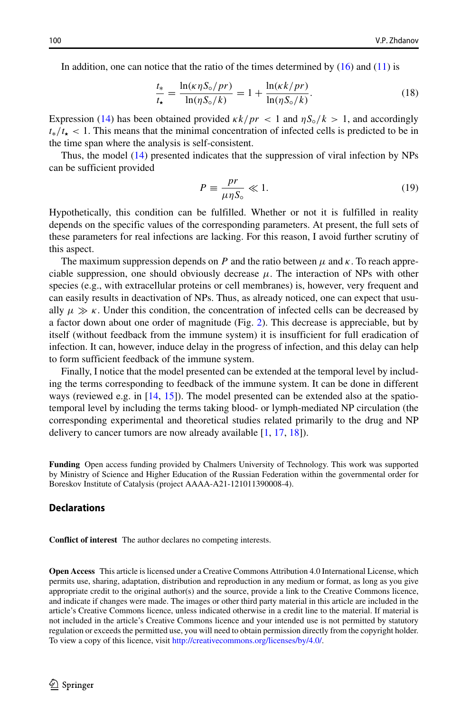In addition, one can notice that the ratio of the times determined by  $(16)$  and  $(11)$  is

$$
\frac{t_{*}}{t_{\star}} = \frac{\ln(\kappa \eta S_{\circ}/pr)}{\ln(\eta S_{\circ}/k)} = 1 + \frac{\ln(\kappa k/pr)}{\ln(\eta S_{\circ}/k)}.
$$
\n(18)

Expression [\(14\)](#page-5-0) has been obtained provided  $\frac{kk}{pr}$  < 1 and  $\frac{nS_o}{k}$  > 1, and accordingly  $t_{\star}/t_{\star}$  < 1. This means that the minimal concentration of infected cells is predicted to be in the time span where the analysis is self-consistent.

Thus, the model [\(14\)](#page-5-0) presented indicates that the suppression of viral infection by NPs can be sufficient provided

$$
P \equiv \frac{pr}{\mu \eta S_{\circ}} \ll 1. \tag{19}
$$

Hypothetically, this condition can be fulfilled. Whether or not it is fulfilled in reality depends on the specific values of the corresponding parameters. At present, the full sets of these parameters for real infections are lacking. For this reason, I avoid further scrutiny of this aspect.

The maximum suppression depends on *P* and the ratio between  $\mu$  and  $\kappa$ . To reach appreciable suppression, one should obviously decrease  $\mu$ . The interaction of NPs with other species (e.g., with extracellular proteins or cell membranes) is, however, very frequent and can easily results in deactivation of NPs. Thus, as already noticed, one can expect that usually  $\mu \gg \kappa$ . Under this condition, the concentration of infected cells can be decreased by a factor down about one order of magnitude (Fig. [2\)](#page-5-1). This decrease is appreciable, but by itself (without feedback from the immune system) it is insufficient for full eradication of infection. It can, however, induce delay in the progress of infection, and this delay can help to form sufficient feedback of the immune system.

Finally, I notice that the model presented can be extended at the temporal level by including the terms corresponding to feedback of the immune system. It can be done in different ways (reviewed e.g. in [\[14,](#page-7-13) [15\]](#page-7-14)). The model presented can be extended also at the spatiotemporal level by including the terms taking blood- or lymph-mediated NP circulation (the corresponding experimental and theoretical studies related primarily to the drug and NP delivery to cancer tumors are now already available [\[1,](#page-7-0) [17,](#page-7-16) [18\]](#page-7-17)).

**Funding** Open access funding provided by Chalmers University of Technology. This work was supported by Ministry of Science and Higher Education of the Russian Federation within the governmental order for Boreskov Institute of Catalysis (project AAAA-A21-121011390008-4).

#### **Declarations**

**Conflict of interest** The author declares no competing interests.

**Open Access** This article is licensed under a Creative Commons Attribution 4.0 International License, which permits use, sharing, adaptation, distribution and reproduction in any medium or format, as long as you give appropriate credit to the original author(s) and the source, provide a link to the Creative Commons licence, and indicate if changes were made. The images or other third party material in this article are included in the article's Creative Commons licence, unless indicated otherwise in a credit line to the material. If material is not included in the article's Creative Commons licence and your intended use is not permitted by statutory regulation or exceeds the permitted use, you will need to obtain permission directly from the copyright holder. To view a copy of this licence, visit [http://creativecommons.org/licenses/by/4.0/.](http://creativecommons.org/licenses/by/4.0/)